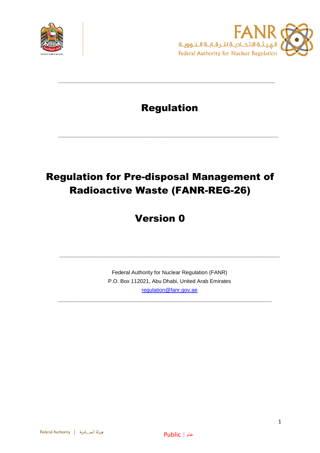



### Regulation

**\_\_\_\_\_\_\_\_\_\_\_\_\_\_\_\_\_\_\_\_\_\_\_\_\_\_\_\_\_\_\_\_\_\_\_\_\_\_\_\_\_\_\_\_\_\_\_\_\_\_\_\_\_\_\_\_\_\_\_\_\_\_\_\_\_\_\_**

**\_\_\_\_\_\_\_\_\_\_\_\_\_\_\_\_\_\_\_\_\_\_\_\_\_\_\_\_\_\_\_\_\_\_\_\_\_\_\_\_\_\_\_\_\_\_\_\_\_\_\_\_\_\_\_\_\_\_\_\_\_\_\_\_\_\_**

# Regulation for Pre-disposal Management of Radioactive Waste (FANR-REG-26)

## Version 0

Federal Authority for Nuclear Regulation (FANR) P.O. Box 112021, Abu Dhabi, United Arab Emirates [regulation@fanr.gov.ae](http://www.fanr.gov.ae/)

**\_\_\_\_\_\_\_\_\_\_\_\_\_\_\_\_\_\_\_\_\_\_\_\_\_\_\_\_\_\_\_\_\_\_\_\_\_\_\_\_\_\_\_\_\_\_\_\_\_\_\_\_\_\_\_\_\_\_\_\_\_\_\_\_\_**

**\_\_\_\_\_\_\_\_\_\_\_\_\_\_\_\_\_\_\_\_\_\_\_\_\_\_\_\_\_\_\_\_\_\_\_\_\_\_\_\_\_\_\_\_\_\_\_\_\_\_\_\_\_\_\_\_\_\_\_\_\_\_\_\_\_\_\_**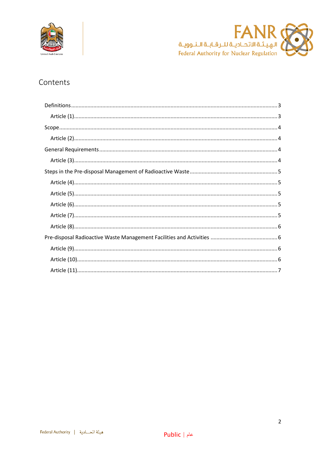



### Contents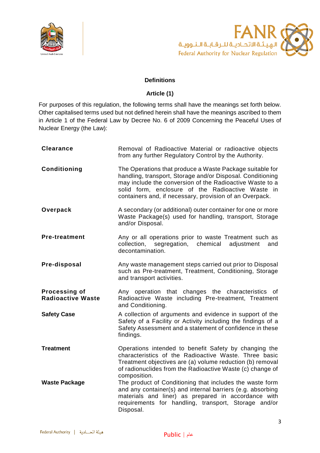



#### **Definitions**

#### **Article (1)**

<span id="page-2-1"></span><span id="page-2-0"></span>For purposes of this regulation, the following terms shall have the meanings set forth below. Other capitalised terms used but not defined herein shall have the meanings ascribed to them in Article 1 of the Federal Law by Decree No. 6 of 2009 Concerning the Peaceful Uses of Nuclear Energy (the Law):

| <b>Clearance</b>                          | Removal of Radioactive Material or radioactive objects<br>from any further Regulatory Control by the Authority.                                                                                                                                                                                    |
|-------------------------------------------|----------------------------------------------------------------------------------------------------------------------------------------------------------------------------------------------------------------------------------------------------------------------------------------------------|
| Conditioning                              | The Operations that produce a Waste Package suitable for<br>handling, transport, Storage and/or Disposal. Conditioning<br>may include the conversion of the Radioactive Waste to a<br>solid form, enclosure of the Radioactive Waste in<br>containers and, if necessary, provision of an Overpack. |
| Overpack                                  | A secondary (or additional) outer container for one or more<br>Waste Package(s) used for handling, transport, Storage<br>and/or Disposal.                                                                                                                                                          |
| <b>Pre-treatment</b>                      | Any or all operations prior to waste Treatment such as<br>segregation, chemical<br>collection,<br>adjustment<br>and<br>decontamination.                                                                                                                                                            |
| Pre-disposal                              | Any waste management steps carried out prior to Disposal<br>such as Pre-treatment, Treatment, Conditioning, Storage<br>and transport activities.                                                                                                                                                   |
| Processing of<br><b>Radioactive Waste</b> | Any operation that changes the characteristics<br>of<br>Radioactive Waste including Pre-treatment, Treatment<br>and Conditioning.                                                                                                                                                                  |
| <b>Safety Case</b>                        | A collection of arguments and evidence in support of the<br>Safety of a Facility or Activity including the findings of a<br>Safety Assessment and a statement of confidence in these<br>findings.                                                                                                  |
| <b>Treatment</b>                          | Operations intended to benefit Safety by changing the<br>characteristics of the Radioactive Waste. Three basic<br>Treatment objectives are (a) volume reduction (b) removal<br>of radionuclides from the Radioactive Waste (c) change of<br>composition.                                           |
| <b>Waste Package</b>                      | The product of Conditioning that includes the waste form<br>and any container(s) and internal barriers (e.g. absorbing<br>materials and liner) as prepared in accordance with<br>requirements for handling, transport, Storage and/or<br>Disposal.                                                 |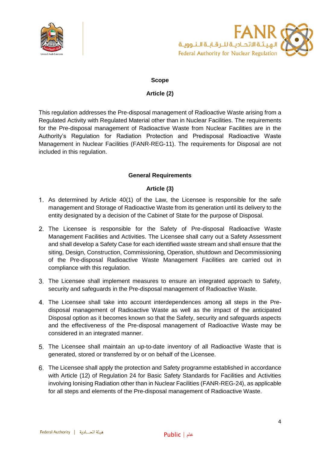



#### **Scope**

#### **Article (2)**

<span id="page-3-1"></span><span id="page-3-0"></span>This regulation addresses the Pre-disposal management of Radioactive Waste arising from a Regulated Activity with Regulated Material other than in Nuclear Facilities. The requirements for the Pre-disposal management of Radioactive Waste from Nuclear Facilities are in the Authority's Regulation for Radiation Protection and Predisposal Radioactive Waste Management in Nuclear Facilities (FANR-REG-11). The requirements for Disposal are not included in this regulation.

#### **General Requirements**

#### **Article (3)**

- <span id="page-3-3"></span><span id="page-3-2"></span>As determined by Article 40(1) of the Law, the Licensee is responsible for the safe management and Storage of Radioactive Waste from its generation until its delivery to the entity designated by a decision of the Cabinet of State for the purpose of Disposal.
- 2. The Licensee is responsible for the Safety of Pre-disposal Radioactive Waste Management Facilities and Activities. The Licensee shall carry out a Safety Assessment and shall develop a Safety Case for each identified waste stream and shall ensure that the siting, Design, Construction, Commissioning, Operation, shutdown and Decommissioning of the Pre-disposal Radioactive Waste Management Facilities are carried out in compliance with this regulation.
- The Licensee shall implement measures to ensure an integrated approach to Safety, security and safeguards in the Pre-disposal management of Radioactive Waste.
- The Licensee shall take into account interdependences among all steps in the Predisposal management of Radioactive Waste as well as the impact of the anticipated Disposal option as it becomes known so that the Safety, security and safeguards aspects and the effectiveness of the Pre-disposal management of Radioactive Waste may be considered in an integrated manner.
- The Licensee shall maintain an up-to-date inventory of all Radioactive Waste that is generated, stored or transferred by or on behalf of the Licensee.
- The Licensee shall apply the protection and Safety programme established in accordance with Article (12) of Regulation 24 for Basic Safety Standards for Facilities and Activities involving Ionising Radiation other than in Nuclear Facilities (FANR-REG-24), as applicable for all steps and elements of the Pre-disposal management of Radioactive Waste.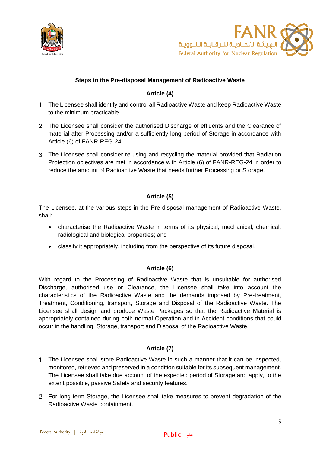



#### **Steps in the Pre-disposal Management of Radioactive Waste**

#### **Article (4)**

- <span id="page-4-1"></span><span id="page-4-0"></span>The Licensee shall identify and control all Radioactive Waste and keep Radioactive Waste to the minimum practicable.
- 2. The Licensee shall consider the authorised Discharge of effluents and the Clearance of material after Processing and/or a sufficiently long period of Storage in accordance with Article (6) of FANR-REG-24.
- The Licensee shall consider re-using and recycling the material provided that Radiation Protection objectives are met in accordance with Article (6) of FANR-REG-24 in order to reduce the amount of Radioactive Waste that needs further Processing or Storage.

#### **Article (5)**

<span id="page-4-2"></span>The Licensee, at the various steps in the Pre-disposal management of Radioactive Waste, shall:

- characterise the Radioactive Waste in terms of its physical, mechanical, chemical, radiological and biological properties; and
- classify it appropriately, including from the perspective of its future disposal.

#### **Article (6)**

<span id="page-4-3"></span>With regard to the Processing of Radioactive Waste that is unsuitable for authorised Discharge, authorised use or Clearance, the Licensee shall take into account the characteristics of the Radioactive Waste and the demands imposed by Pre-treatment, Treatment, Conditioning, transport, Storage and Disposal of the Radioactive Waste. The Licensee shall design and produce Waste Packages so that the Radioactive Material is appropriately contained during both normal Operation and in Accident conditions that could occur in the handling, Storage, transport and Disposal of the Radioactive Waste.

#### **Article (7)**

- <span id="page-4-4"></span>1. The Licensee shall store Radioactive Waste in such a manner that it can be inspected, monitored, retrieved and preserved in a condition suitable for its subsequent management. The Licensee shall take due account of the expected period of Storage and apply, to the extent possible, passive Safety and security features.
- For long-term Storage, the Licensee shall take measures to prevent degradation of the Radioactive Waste containment.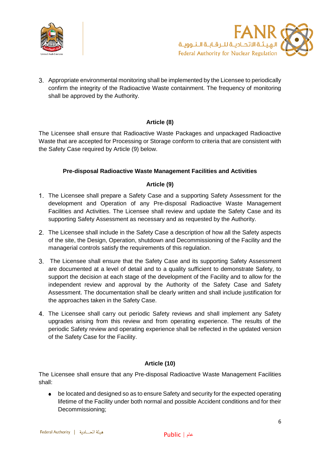



Appropriate environmental monitoring shall be implemented by the Licensee to periodically confirm the integrity of the Radioactive Waste containment. The frequency of monitoring shall be approved by the Authority.

#### **Article (8)**

<span id="page-5-0"></span>The Licensee shall ensure that Radioactive Waste Packages and unpackaged Radioactive Waste that are accepted for Processing or Storage conform to criteria that are consistent with the Safety Case required by Article (9) below.

#### **Pre-disposal Radioactive Waste Management Facilities and Activities**

#### **Article (9)**

- <span id="page-5-2"></span><span id="page-5-1"></span>The Licensee shall prepare a Safety Case and a supporting Safety Assessment for the development and Operation of any Pre-disposal Radioactive Waste Management Facilities and Activities. The Licensee shall review and update the Safety Case and its supporting Safety Assessment as necessary and as requested by the Authority.
- The Licensee shall include in the Safety Case a description of how all the Safety aspects of the site, the Design, Operation, shutdown and Decommissioning of the Facility and the managerial controls satisfy the requirements of this regulation.
- The Licensee shall ensure that the Safety Case and its supporting Safety Assessment are documented at a level of detail and to a quality sufficient to demonstrate Safety, to support the decision at each stage of the development of the Facility and to allow for the independent review and approval by the Authority of the Safety Case and Safety Assessment. The documentation shall be clearly written and shall include justification for the approaches taken in the Safety Case.
- The Licensee shall carry out periodic Safety reviews and shall implement any Safety upgrades arising from this review and from operating experience. The results of the periodic Safety review and operating experience shall be reflected in the updated version of the Safety Case for the Facility.

#### **Article (10)**

<span id="page-5-3"></span>The Licensee shall ensure that any Pre-disposal Radioactive Waste Management Facilities shall:

be located and designed so as to ensure Safety and security for the expected operating lifetime of the Facility under both normal and possible Accident conditions and for their Decommissioning;